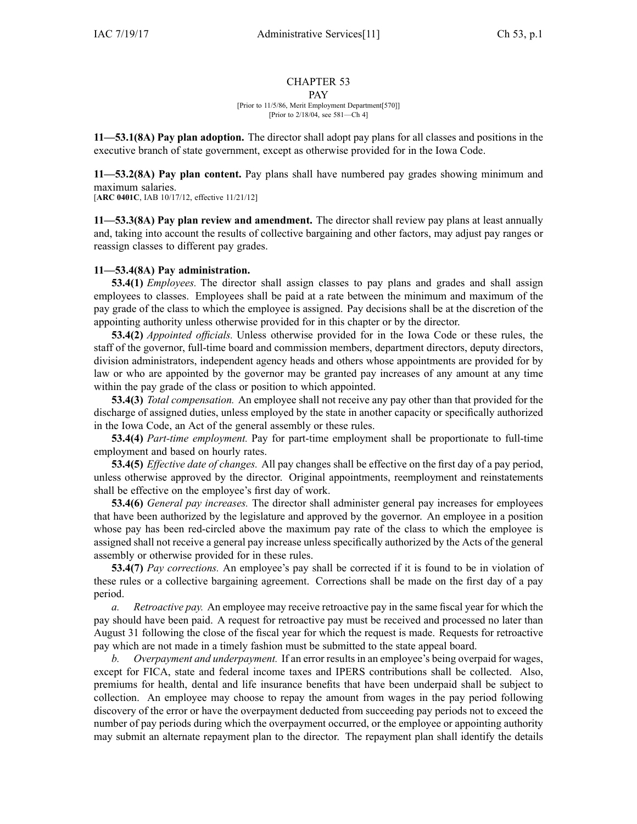#### CHAPTER 53 PAY

[Prior to 11/5/86, Merit Employment Department[570]] [Prior to 2/18/04, see 581—Ch 4]

**11—53.1(8A) Pay plan adoption.** The director shall adopt pay plans for all classes and positions in the executive branch of state government, excep<sup>t</sup> as otherwise provided for in the Iowa Code.

**11—53.2(8A) Pay plan content.** Pay plans shall have numbered pay grades showing minimum and maximum salaries.

[**ARC [0401C](https://www.legis.iowa.gov/docs/aco/arc/0401C.pdf)**, IAB 10/17/12, effective 11/21/12]

**11—53.3(8A) Pay plan review and amendment.** The director shall review pay plans at least annually and, taking into account the results of collective bargaining and other factors, may adjust pay ranges or reassign classes to different pay grades.

## **11—53.4(8A) Pay administration.**

**53.4(1)** *Employees.* The director shall assign classes to pay plans and grades and shall assign employees to classes. Employees shall be paid at <sup>a</sup> rate between the minimum and maximum of the pay grade of the class to which the employee is assigned. Pay decisions shall be at the discretion of the appointing authority unless otherwise provided for in this chapter or by the director.

**53.4(2)** *Appointed officials.* Unless otherwise provided for in the Iowa Code or these rules, the staff of the governor, full-time board and commission members, department directors, deputy directors, division administrators, independent agency heads and others whose appointments are provided for by law or who are appointed by the governor may be granted pay increases of any amount at any time within the pay grade of the class or position to which appointed.

**53.4(3)** *Total compensation.* An employee shall not receive any pay other than that provided for the discharge of assigned duties, unless employed by the state in another capacity or specifically authorized in the Iowa Code, an Act of the general assembly or these rules.

**53.4(4)** *Part-time employment.* Pay for part-time employment shall be proportionate to full-time employment and based on hourly rates.

**53.4(5)** *Effective date of changes.* All pay changes shall be effective on the first day of <sup>a</sup> pay period, unless otherwise approved by the director. Original appointments, reemployment and reinstatements shall be effective on the employee's first day of work.

**53.4(6)** *General pay increases.* The director shall administer general pay increases for employees that have been authorized by the legislature and approved by the governor. An employee in <sup>a</sup> position whose pay has been red-circled above the maximum pay rate of the class to which the employee is assigned shall not receive <sup>a</sup> general pay increase unless specifically authorized by the Acts of the general assembly or otherwise provided for in these rules.

**53.4(7)** *Pay corrections.* An employee's pay shall be corrected if it is found to be in violation of these rules or <sup>a</sup> collective bargaining agreement. Corrections shall be made on the first day of <sup>a</sup> pay period.

*a. Retroactive pay.* An employee may receive retroactive pay in the same fiscal year for which the pay should have been paid. A reques<sup>t</sup> for retroactive pay must be received and processed no later than August 31 following the close of the fiscal year for which the reques<sup>t</sup> is made. Requests for retroactive pay which are not made in <sup>a</sup> timely fashion must be submitted to the state appeal board.

*b. Overpayment and underpayment.* If an error results in an employee's being overpaid for wages, excep<sup>t</sup> for FICA, state and federal income taxes and IPERS contributions shall be collected. Also, premiums for health, dental and life insurance benefits that have been underpaid shall be subject to collection. An employee may choose to repay the amount from wages in the pay period following discovery of the error or have the overpaymen<sup>t</sup> deducted from succeeding pay periods not to exceed the number of pay periods during which the overpaymen<sup>t</sup> occurred, or the employee or appointing authority may submit an alternate repaymen<sup>t</sup> plan to the director. The repaymen<sup>t</sup> plan shall identify the details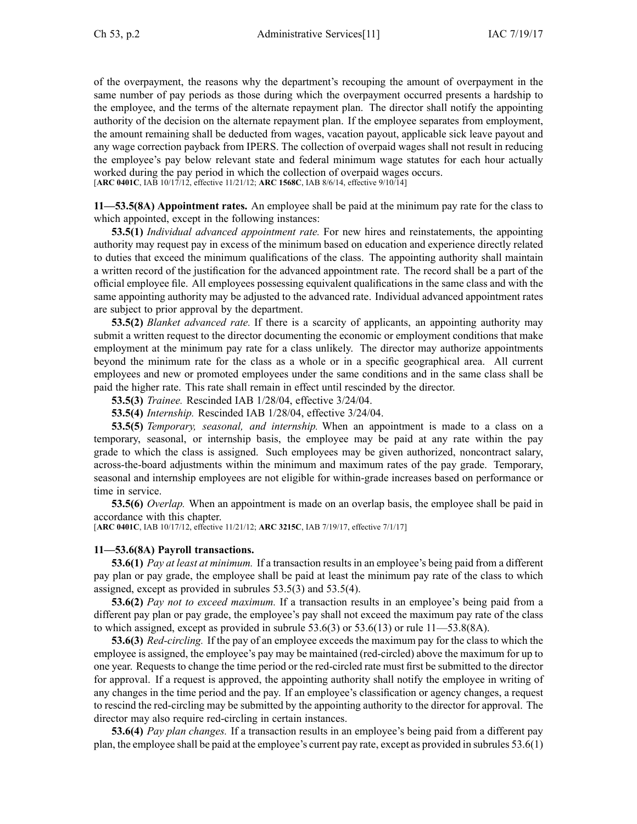of the overpayment, the reasons why the department's recouping the amount of overpaymen<sup>t</sup> in the same number of pay periods as those during which the overpaymen<sup>t</sup> occurred presents <sup>a</sup> hardship to the employee, and the terms of the alternate repaymen<sup>t</sup> plan. The director shall notify the appointing authority of the decision on the alternate repaymen<sup>t</sup> plan. If the employee separates from employment, the amount remaining shall be deducted from wages, vacation payout, applicable sick leave payou<sup>t</sup> and any wage correction payback from IPERS. The collection of overpaid wages shall not result in reducing the employee's pay below relevant state and federal minimum wage statutes for each hour actually worked during the pay period in which the collection of overpaid wages occurs. [**ARC [0401C](https://www.legis.iowa.gov/docs/aco/arc/0401C.pdf)**, IAB 10/17/12, effective 11/21/12; **ARC [1568C](https://www.legis.iowa.gov/docs/aco/arc/1568C.pdf)**, IAB 8/6/14, effective 9/10/14]

**11—53.5(8A) Appointment rates.** An employee shall be paid at the minimum pay rate for the class to which appointed, excep<sup>t</sup> in the following instances:

**53.5(1)** *Individual advanced appointment rate.* For new hires and reinstatements, the appointing authority may reques<sup>t</sup> pay in excess of the minimum based on education and experience directly related to duties that exceed the minimum qualifications of the class. The appointing authority shall maintain <sup>a</sup> written record of the justification for the advanced appointment rate. The record shall be <sup>a</sup> par<sup>t</sup> of the official employee file. All employees possessing equivalent qualifications in the same class and with the same appointing authority may be adjusted to the advanced rate. Individual advanced appointment rates are subject to prior approval by the department.

**53.5(2)** *Blanket advanced rate.* If there is <sup>a</sup> scarcity of applicants, an appointing authority may submit <sup>a</sup> written reques<sup>t</sup> to the director documenting the economic or employment conditions that make employment at the minimum pay rate for <sup>a</sup> class unlikely. The director may authorize appointments beyond the minimum rate for the class as <sup>a</sup> whole or in <sup>a</sup> specific geographical area. All current employees and new or promoted employees under the same conditions and in the same class shall be paid the higher rate. This rate shall remain in effect until rescinded by the director.

**53.5(3)** *Trainee.* Rescinded IAB [1/28/04](https://www.legis.iowa.gov/docs/aco/bulletin/01-28-2004.pdf), effective 3/24/04.

**53.5(4)** *Internship.* Rescinded IAB [1/28/04](https://www.legis.iowa.gov/docs/aco/bulletin/01-28-2004.pdf), effective 3/24/04.

**53.5(5)** *Temporary, seasonal, and internship.* When an appointment is made to <sup>a</sup> class on <sup>a</sup> temporary, seasonal, or internship basis, the employee may be paid at any rate within the pay grade to which the class is assigned. Such employees may be given authorized, noncontract salary, across-the-board adjustments within the minimum and maximum rates of the pay grade. Temporary, seasonal and internship employees are not eligible for within-grade increases based on performance or time in service.

**53.5(6)** *Overlap.* When an appointment is made on an overlap basis, the employee shall be paid in accordance with this chapter.

[**ARC [0401C](https://www.legis.iowa.gov/docs/aco/arc/0401C.pdf)**, IAB 10/17/12, effective 11/21/12; **ARC [3215C](https://www.legis.iowa.gov/docs/aco/arc/3215C.pdf)**, IAB 7/19/17, effective 7/1/17]

#### **11—53.6(8A) Payroll transactions.**

**53.6(1)** *Pay at least at minimum.* If <sup>a</sup> transaction results in an employee's being paid from <sup>a</sup> different pay plan or pay grade, the employee shall be paid at least the minimum pay rate of the class to which assigned, excep<sup>t</sup> as provided in subrules [53.5\(3\)](https://www.legis.iowa.gov/docs/iac/rule/11.53.5.pdf) and [53.5\(4\)](https://www.legis.iowa.gov/docs/iac/rule/11.53.5.pdf).

**53.6(2)** *Pay not to exceed maximum.* If <sup>a</sup> transaction results in an employee's being paid from <sup>a</sup> different pay plan or pay grade, the employee's pay shall not exceed the maximum pay rate of the class to which assigned, except as provided in subrule  $53.6(3)$  or  $53.6(13)$  or rule  $11-53.8(8A)$ .

**53.6(3)** *Red-circling.* If the pay of an employee exceeds the maximum pay for the class to which the employee is assigned, the employee's pay may be maintained (red-circled) above the maximum for up to one year. Requests to change the time period or the red-circled rate must first be submitted to the director for approval. If <sup>a</sup> reques<sup>t</sup> is approved, the appointing authority shall notify the employee in writing of any changes in the time period and the pay. If an employee's classification or agency changes, <sup>a</sup> reques<sup>t</sup> to rescind the red-circling may be submitted by the appointing authority to the director for approval. The director may also require red-circling in certain instances.

**53.6(4)** *Pay plan changes.* If <sup>a</sup> transaction results in an employee's being paid from <sup>a</sup> different pay plan, the employee shall be paid at the employee's current pay rate, excep<sup>t</sup> as provided in subrules [53.6\(1\)](https://www.legis.iowa.gov/docs/iac/rule/11.53.6.pdf)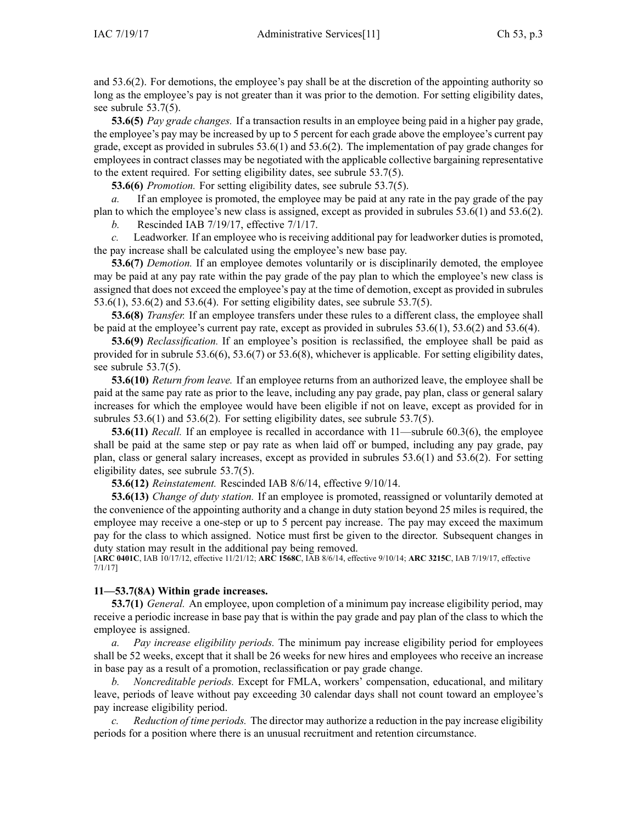and [53.6\(2\)](https://www.legis.iowa.gov/docs/iac/rule/11.53.6.pdf). For demotions, the employee's pay shall be at the discretion of the appointing authority so long as the employee's pay is not greater than it was prior to the demotion. For setting eligibility dates, see subrule [53.7\(5\)](https://www.legis.iowa.gov/docs/iac/rule/11.53.7.pdf).

**53.6(5)** *Pay grade changes.* If <sup>a</sup> transaction results in an employee being paid in <sup>a</sup> higher pay grade, the employee's pay may be increased by up to 5 percen<sup>t</sup> for each grade above the employee's current pay grade, excep<sup>t</sup> as provided in subrules [53.6\(1\)](https://www.legis.iowa.gov/docs/iac/rule/11.53.6.pdf) and [53.6\(2\)](https://www.legis.iowa.gov/docs/iac/rule/11.53.6.pdf). The implementation of pay grade changes for employees in contract classes may be negotiated with the applicable collective bargaining representative to the extent required. For setting eligibility dates, see subrule [53.7\(5\)](https://www.legis.iowa.gov/docs/iac/rule/11.53.7.pdf).

**53.6(6)** *Promotion.* For setting eligibility dates, see subrule [53.7\(5\)](https://www.legis.iowa.gov/docs/iac/rule/11.53.7.pdf).

*a.* If an employee is promoted, the employee may be paid at any rate in the pay grade of the pay plan to which the employee's new class is assigned, excep<sup>t</sup> as provided in subrules [53.6\(1\)](https://www.legis.iowa.gov/docs/iac/rule/11.53.6.pdf) and [53.6\(2\)](https://www.legis.iowa.gov/docs/iac/rule/11.53.6.pdf).

*b.* Rescinded IAB [7/19/17](https://www.legis.iowa.gov/docs/aco/bulletin/07-19-2017.pdf), effective 7/1/17.

*c.* Leadworker. If an employee who is receiving additional pay for leadworker duties is promoted, the pay increase shall be calculated using the employee's new base pay.

**53.6(7)** *Demotion.* If an employee demotes voluntarily or is disciplinarily demoted, the employee may be paid at any pay rate within the pay grade of the pay plan to which the employee's new class is assigned that does not exceed the employee's pay at the time of demotion, excep<sup>t</sup> as provided in subrules [53.6\(1\)](https://www.legis.iowa.gov/docs/iac/rule/11.53.6.pdf), [53.6\(2\)](https://www.legis.iowa.gov/docs/iac/rule/11.53.6.pdf) and [53.6\(4\)](https://www.legis.iowa.gov/docs/iac/rule/11.53.6.pdf). For setting eligibility dates, see subrule [53.7\(5\)](https://www.legis.iowa.gov/docs/iac/rule/11.53.7.pdf).

**53.6(8)** *Transfer.* If an employee transfers under these rules to <sup>a</sup> different class, the employee shall be paid at the employee's current pay rate, excep<sup>t</sup> as provided in subrules [53.6\(1\)](https://www.legis.iowa.gov/docs/iac/rule/11.53.6.pdf), [53.6\(2\)](https://www.legis.iowa.gov/docs/iac/rule/11.53.6.pdf) and [53.6\(4\)](https://www.legis.iowa.gov/docs/iac/rule/11.53.6.pdf).

**53.6(9)** *Reclassification.* If an employee's position is reclassified, the employee shall be paid as provided for in subrule [53.6\(6\)](https://www.legis.iowa.gov/docs/iac/rule/11.53.6.pdf), [53.6\(7\)](https://www.legis.iowa.gov/docs/iac/rule/11.53.6.pdf) or [53.6\(8\)](https://www.legis.iowa.gov/docs/iac/rule/11.53.6.pdf), whichever is applicable. For setting eligibility dates, see subrule [53.7\(5\)](https://www.legis.iowa.gov/docs/iac/rule/11.53.7.pdf).

**53.6(10)** *Return from leave.* If an employee returns from an authorized leave, the employee shall be paid at the same pay rate as prior to the leave, including any pay grade, pay plan, class or general salary increases for which the employee would have been eligible if not on leave, excep<sup>t</sup> as provided for in subrules [53.6\(1\)](https://www.legis.iowa.gov/docs/iac/rule/11.53.6.pdf) and [53.6\(2\)](https://www.legis.iowa.gov/docs/iac/rule/11.53.6.pdf). For setting eligibility dates, see subrule [53.7\(5\)](https://www.legis.iowa.gov/docs/iac/rule/11.53.7.pdf).

**53.6(11)** *Recall.* If an employee is recalled in accordance with [11—subrule](https://www.legis.iowa.gov/docs/iac/rule/11.60.3.pdf) 60.3(6), the employee shall be paid at the same step or pay rate as when laid off or bumped, including any pay grade, pay plan, class or general salary increases, excep<sup>t</sup> as provided in subrules [53.6\(1\)](https://www.legis.iowa.gov/docs/iac/rule/11.53.6.pdf) and [53.6\(2\)](https://www.legis.iowa.gov/docs/iac/rule/11.53.6.pdf). For setting eligibility dates, see subrule [53.7\(5\)](https://www.legis.iowa.gov/docs/iac/rule/11.53.7.pdf).

**53.6(12)** *Reinstatement.* Rescinded IAB [8/6/14](https://www.legis.iowa.gov/docs/aco/bulletin/08-06-2014.pdf), effective 9/10/14.

**53.6(13)** *Change of duty station.* If an employee is promoted, reassigned or voluntarily demoted at the convenience of the appointing authority and <sup>a</sup> change in duty station beyond 25 miles is required, the employee may receive <sup>a</sup> one-step or up to 5 percen<sup>t</sup> pay increase. The pay may exceed the maximum pay for the class to which assigned. Notice must first be given to the director. Subsequent changes in duty station may result in the additional pay being removed.

[**ARC [0401C](https://www.legis.iowa.gov/docs/aco/arc/0401C.pdf)**, IAB 10/17/12, effective 11/21/12; **ARC [1568C](https://www.legis.iowa.gov/docs/aco/arc/1568C.pdf)**, IAB 8/6/14, effective 9/10/14; **ARC [3215C](https://www.legis.iowa.gov/docs/aco/arc/3215C.pdf)**, IAB 7/19/17, effective 7/1/17]

## **11—53.7(8A) Within grade increases.**

**53.7(1)** *General.* An employee, upon completion of <sup>a</sup> minimum pay increase eligibility period, may receive <sup>a</sup> periodic increase in base pay that is within the pay grade and pay plan of the class to which the employee is assigned.

*a. Pay increase eligibility periods.* The minimum pay increase eligibility period for employees shall be 52 weeks, excep<sup>t</sup> that it shall be 26 weeks for new hires and employees who receive an increase in base pay as <sup>a</sup> result of <sup>a</sup> promotion, reclassification or pay grade change.

*b. Noncreditable periods.* Except for FMLA, workers' compensation, educational, and military leave, periods of leave without pay exceeding 30 calendar days shall not count toward an employee's pay increase eligibility period.

*c. Reduction of time periods.* The director may authorize <sup>a</sup> reduction in the pay increase eligibility periods for <sup>a</sup> position where there is an unusual recruitment and retention circumstance.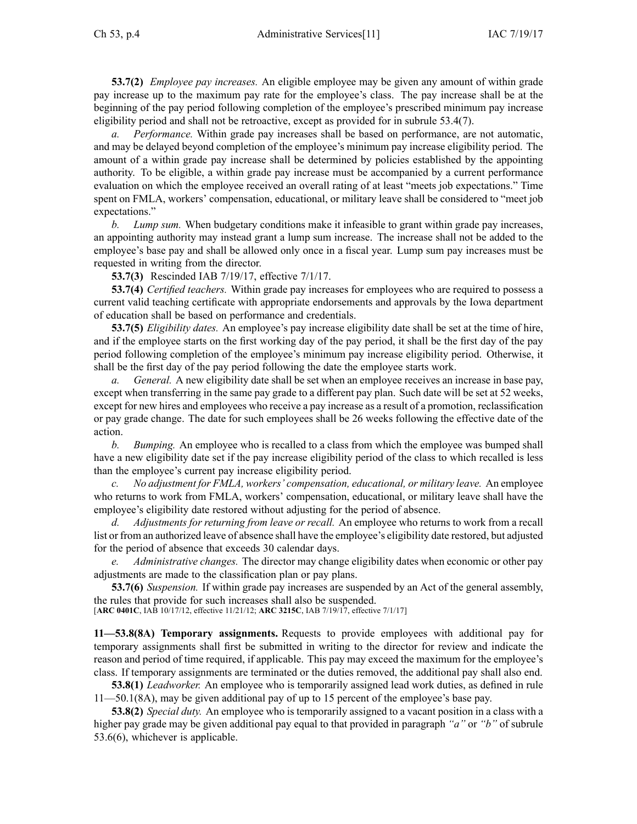**53.7(2)** *Employee pay increases.* An eligible employee may be given any amount of within grade pay increase up to the maximum pay rate for the employee's class. The pay increase shall be at the beginning of the pay period following completion of the employee's prescribed minimum pay increase eligibility period and shall not be retroactive, excep<sup>t</sup> as provided for in subrule [53.4\(7\)](https://www.legis.iowa.gov/docs/iac/rule/11.53.4.pdf).

*a. Performance.* Within grade pay increases shall be based on performance, are not automatic, and may be delayed beyond completion of the employee's minimum pay increase eligibility period. The amount of <sup>a</sup> within grade pay increase shall be determined by policies established by the appointing authority. To be eligible, <sup>a</sup> within grade pay increase must be accompanied by <sup>a</sup> current performance evaluation on which the employee received an overall rating of at least "meets job expectations." Time spen<sup>t</sup> on FMLA, workers' compensation, educational, or military leave shall be considered to "meet job expectations."

*b. Lump sum.* When budgetary conditions make it infeasible to gran<sup>t</sup> within grade pay increases, an appointing authority may instead gran<sup>t</sup> <sup>a</sup> lump sum increase. The increase shall not be added to the employee's base pay and shall be allowed only once in <sup>a</sup> fiscal year. Lump sum pay increases must be requested in writing from the director.

**53.7(3)** Rescinded IAB [7/19/17](https://www.legis.iowa.gov/docs/aco/bulletin/07-19-2017.pdf), effective 7/1/17.

**53.7(4)** *Certified teachers.* Within grade pay increases for employees who are required to possess <sup>a</sup> current valid teaching certificate with appropriate endorsements and approvals by the Iowa department of education shall be based on performance and credentials.

**53.7(5)** *Eligibility dates.* An employee's pay increase eligibility date shall be set at the time of hire, and if the employee starts on the first working day of the pay period, it shall be the first day of the pay period following completion of the employee's minimum pay increase eligibility period. Otherwise, it shall be the first day of the pay period following the date the employee starts work.

*a. General.* A new eligibility date shall be set when an employee receives an increase in base pay, excep<sup>t</sup> when transferring in the same pay grade to <sup>a</sup> different pay plan. Such date will be set at 52 weeks, excep<sup>t</sup> for new hires and employees who receive <sup>a</sup> pay increase as <sup>a</sup> result of <sup>a</sup> promotion, reclassification or pay grade change. The date for such employees shall be 26 weeks following the effective date of the action.

*b. Bumping.* An employee who is recalled to <sup>a</sup> class from which the employee was bumped shall have <sup>a</sup> new eligibility date set if the pay increase eligibility period of the class to which recalled is less than the employee's current pay increase eligibility period.

*c. No adjustment for FMLA, workers' compensation, educational, or military leave.* An employee who returns to work from FMLA, workers' compensation, educational, or military leave shall have the employee's eligibility date restored without adjusting for the period of absence.

*d. Adjustments for returning from leave or recall.* An employee who returns to work from <sup>a</sup> recall list or from an authorized leave of absence shall have the employee's eligibility date restored, but adjusted for the period of absence that exceeds 30 calendar days.

*e. Administrative changes.* The director may change eligibility dates when economic or other pay adjustments are made to the classification plan or pay plans.

**53.7(6)** *Suspension.* If within grade pay increases are suspended by an Act of the general assembly, the rules that provide for such increases shall also be suspended.

[**ARC [0401C](https://www.legis.iowa.gov/docs/aco/arc/0401C.pdf)**, IAB 10/17/12, effective 11/21/12; **ARC [3215C](https://www.legis.iowa.gov/docs/aco/arc/3215C.pdf)**, IAB 7/19/17, effective 7/1/17]

**11—53.8(8A) Temporary assignments.** Requests to provide employees with additional pay for temporary assignments shall first be submitted in writing to the director for review and indicate the reason and period of time required, if applicable. This pay may exceed the maximum for the employee's class. If temporary assignments are terminated or the duties removed, the additional pay shall also end.

**53.8(1)** *Leadworker.* An employee who is temporarily assigned lead work duties, as defined in rule [11—50.1\(8A\)](https://www.legis.iowa.gov/docs/iac/rule/11.50.1.pdf), may be given additional pay of up to 15 percen<sup>t</sup> of the employee's base pay.

**53.8(2)** *Special duty.* An employee who is temporarily assigned to <sup>a</sup> vacant position in <sup>a</sup> class with <sup>a</sup> higher pay grade may be given additional pay equal to that provided in paragraph *"a"* or *"b"* of subrule [53.6\(6\)](https://www.legis.iowa.gov/docs/iac/rule/11.53.6.pdf), whichever is applicable.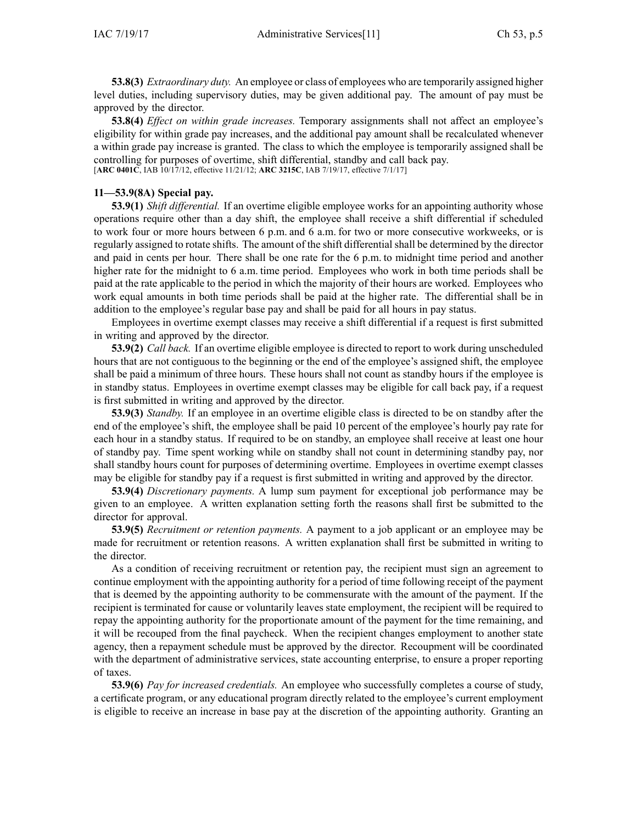**53.8(3)** *Extraordinary duty.* An employee or class of employees who are temporarily assigned higher level duties, including supervisory duties, may be given additional pay. The amount of pay must be approved by the director.

**53.8(4)** *Effect on within grade increases.* Temporary assignments shall not affect an employee's eligibility for within grade pay increases, and the additional pay amount shall be recalculated whenever <sup>a</sup> within grade pay increase is granted. The class to which the employee is temporarily assigned shall be controlling for purposes of overtime, shift differential, standby and call back pay. [**ARC [0401C](https://www.legis.iowa.gov/docs/aco/arc/0401C.pdf)**, IAB 10/17/12, effective 11/21/12; **ARC [3215C](https://www.legis.iowa.gov/docs/aco/arc/3215C.pdf)**, IAB 7/19/17, effective 7/1/17]

# **11—53.9(8A) Special pay.**

**53.9(1)** *Shift differential.* If an overtime eligible employee works for an appointing authority whose operations require other than <sup>a</sup> day shift, the employee shall receive <sup>a</sup> shift differential if scheduled to work four or more hours between 6 p.m. and 6 a.m. for two or more consecutive workweeks, or is regularly assigned to rotate shifts. The amount of the shift differential shall be determined by the director and paid in cents per hour. There shall be one rate for the 6 p.m. to midnight time period and another higher rate for the midnight to 6 a.m. time period. Employees who work in both time periods shall be paid at the rate applicable to the period in which the majority of their hours are worked. Employees who work equal amounts in both time periods shall be paid at the higher rate. The differential shall be in addition to the employee's regular base pay and shall be paid for all hours in pay status.

Employees in overtime exemp<sup>t</sup> classes may receive <sup>a</sup> shift differential if <sup>a</sup> reques<sup>t</sup> is first submitted in writing and approved by the director.

**53.9(2)** *Call back.* If an overtime eligible employee is directed to repor<sup>t</sup> to work during unscheduled hours that are not contiguous to the beginning or the end of the employee's assigned shift, the employee shall be paid <sup>a</sup> minimum of three hours. These hours shall not count as standby hours if the employee is in standby status. Employees in overtime exemp<sup>t</sup> classes may be eligible for call back pay, if <sup>a</sup> reques<sup>t</sup> is first submitted in writing and approved by the director.

**53.9(3)** *Standby.* If an employee in an overtime eligible class is directed to be on standby after the end of the employee's shift, the employee shall be paid 10 percen<sup>t</sup> of the employee's hourly pay rate for each hour in <sup>a</sup> standby status. If required to be on standby, an employee shall receive at least one hour of standby pay. Time spen<sup>t</sup> working while on standby shall not count in determining standby pay, nor shall standby hours count for purposes of determining overtime. Employees in overtime exemp<sup>t</sup> classes may be eligible for standby pay if <sup>a</sup> reques<sup>t</sup> is first submitted in writing and approved by the director.

**53.9(4)** *Discretionary payments.* A lump sum paymen<sup>t</sup> for exceptional job performance may be given to an employee. A written explanation setting forth the reasons shall first be submitted to the director for approval.

**53.9(5)** *Recruitment or retention payments.* A paymen<sup>t</sup> to <sup>a</sup> job applicant or an employee may be made for recruitment or retention reasons. A written explanation shall first be submitted in writing to the director.

As <sup>a</sup> condition of receiving recruitment or retention pay, the recipient must sign an agreemen<sup>t</sup> to continue employment with the appointing authority for <sup>a</sup> period of time following receipt of the paymen<sup>t</sup> that is deemed by the appointing authority to be commensurate with the amount of the payment. If the recipient is terminated for cause or voluntarily leaves state employment, the recipient will be required to repay the appointing authority for the proportionate amount of the paymen<sup>t</sup> for the time remaining, and it will be recouped from the final paycheck. When the recipient changes employment to another state agency, then <sup>a</sup> repaymen<sup>t</sup> schedule must be approved by the director. Recoupment will be coordinated with the department of administrative services, state accounting enterprise, to ensure a proper reporting of taxes.

**53.9(6)** *Pay for increased credentials.* An employee who successfully completes <sup>a</sup> course of study, <sup>a</sup> certificate program, or any educational program directly related to the employee's current employment is eligible to receive an increase in base pay at the discretion of the appointing authority. Granting an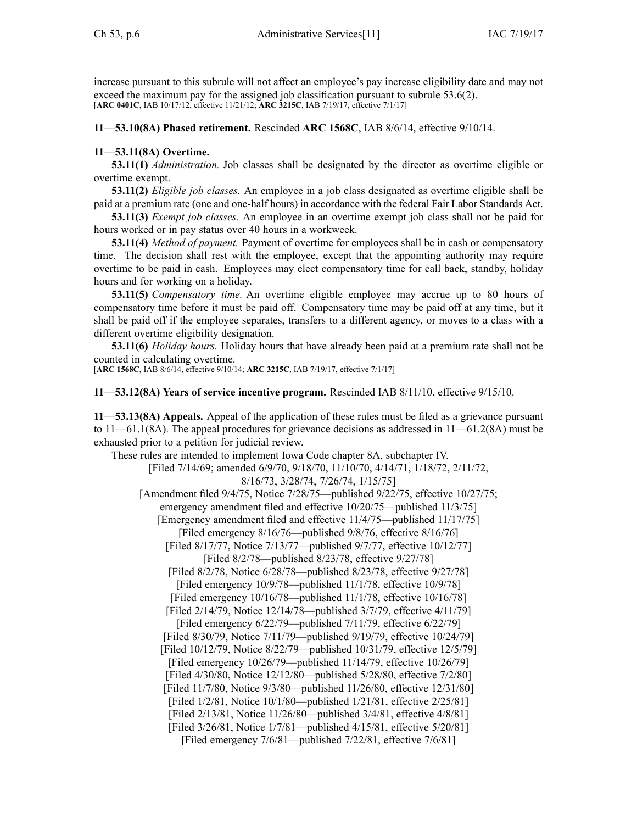increase pursuan<sup>t</sup> to this subrule will not affect an employee's pay increase eligibility date and may not exceed the maximum pay for the assigned job classification pursuant to subrule [53.6\(2\)](https://www.legis.iowa.gov/docs/iac/rule/11.53.6.pdf). [**ARC [0401C](https://www.legis.iowa.gov/docs/aco/arc/0401C.pdf)**, IAB 10/17/12, effective 11/21/12; **ARC [3215C](https://www.legis.iowa.gov/docs/aco/arc/3215C.pdf)**, IAB 7/19/17, effective 7/1/17]

**11—53.10(8A) Phased retirement.** Rescinded **ARC 1568C**, IAB [8/6/14](https://www.legis.iowa.gov/docs/aco/bulletin/08-06-2014.pdf), effective 9/10/14.

## **11—53.11(8A) Overtime.**

**53.11(1)** *Administration.* Job classes shall be designated by the director as overtime eligible or overtime exempt.

**53.11(2)** *Eligible job classes.* An employee in <sup>a</sup> job class designated as overtime eligible shall be paid at <sup>a</sup> premium rate (one and one-half hours) in accordance with the federal Fair Labor Standards Act.

**53.11(3)** *Exempt job classes.* An employee in an overtime exemp<sup>t</sup> job class shall not be paid for hours worked or in pay status over 40 hours in <sup>a</sup> workweek.

**53.11(4)** *Method of payment.* Payment of overtime for employees shall be in cash or compensatory time. The decision shall rest with the employee, excep<sup>t</sup> that the appointing authority may require overtime to be paid in cash. Employees may elect compensatory time for call back, standby, holiday hours and for working on <sup>a</sup> holiday.

**53.11(5)** *Compensatory time.* An overtime eligible employee may accrue up to 80 hours of compensatory time before it must be paid off. Compensatory time may be paid off at any time, but it shall be paid off if the employee separates, transfers to <sup>a</sup> different agency, or moves to <sup>a</sup> class with <sup>a</sup> different overtime eligibility designation.

**53.11(6)** *Holiday hours.* Holiday hours that have already been paid at <sup>a</sup> premium rate shall not be counted in calculating overtime.

[**ARC [1568C](https://www.legis.iowa.gov/docs/aco/arc/1568C.pdf)**, IAB 8/6/14, effective 9/10/14; **ARC [3215C](https://www.legis.iowa.gov/docs/aco/arc/3215C.pdf)**, IAB 7/19/17, effective 7/1/17]

### **11—53.12(8A) Years of service incentive program.** Rescinded IAB [8/11/10](https://www.legis.iowa.gov/docs/aco/bulletin/08-11-2010.pdf), effective 9/15/10.

**11—53.13(8A) Appeals.** Appeal of the application of these rules must be filed as <sup>a</sup> grievance pursuan<sup>t</sup> to [11—61.1\(8A\)](https://www.legis.iowa.gov/docs/iac/rule/11.61.1.pdf). The appeal procedures for grievance decisions as addressed in [11—61.2\(8A\)](https://www.legis.iowa.gov/docs/iac/rule/11.61.2.pdf) must be exhausted prior to <sup>a</sup> petition for judicial review.

These rules are intended to implement Iowa Code chapter [8A](https://www.legis.iowa.gov/docs/ico/chapter/8A.pdf), subchapter IV.

[Filed 7/14/69; amended 6/9/70, 9/18/70, 11/10/70, 4/14/71, 1/18/72, 2/11/72, 8/16/73, 3/28/74, 7/26/74, 1/15/75]

[Amendment filed 9/4/75, Notice 7/28/75—published 9/22/75, effective 10/27/75;

emergency amendment filed and effective 10/20/75—published 11/3/75]

[Emergency amendment filed and effective 11/4/75—published 11/17/75]

[Filed emergency 8/16/76—published 9/8/76, effective 8/16/76]

[Filed 8/17/77, Notice 7/13/77—published 9/7/77, effective 10/12/77]

[Filed 8/2/78—published 8/23/78, effective 9/27/78]

[Filed 8/2/78, Notice 6/28/78—published 8/23/78, effective 9/27/78] [Filed emergency 10/9/78—published 11/1/78, effective 10/9/78]

[Filed emergency 10/16/78—published 11/1/78, effective 10/16/78]

[Filed 2/14/79, Notice 12/14/78—published 3/7/79, effective 4/11/79]

[Filed emergency 6/22/79—published 7/11/79, effective 6/22/79]

[Filed 8/30/79, Notice 7/11/79—published 9/19/79, effective 10/24/79]

[Filed 10/12/79, Notice 8/22/79—published 10/31/79, effective 12/5/79]

[Filed emergency 10/26/79—published 11/14/79, effective 10/26/79]

[Filed 4/30/80, Notice 12/12/80—published 5/28/80, effective 7/2/80]

[Filed 11/7/80, Notice 9/3/80—published 11/26/80, effective 12/31/80]

[Filed 1/2/81, Notice 10/1/80—published 1/21/81, effective 2/25/81]

[Filed 2/13/81, Notice 11/26/80—published 3/4/81, effective 4/8/81]

[Filed 3/26/81, Notice 1/7/81—published 4/15/81, effective 5/20/81] [Filed emergency 7/6/81—published 7/22/81, effective 7/6/81]